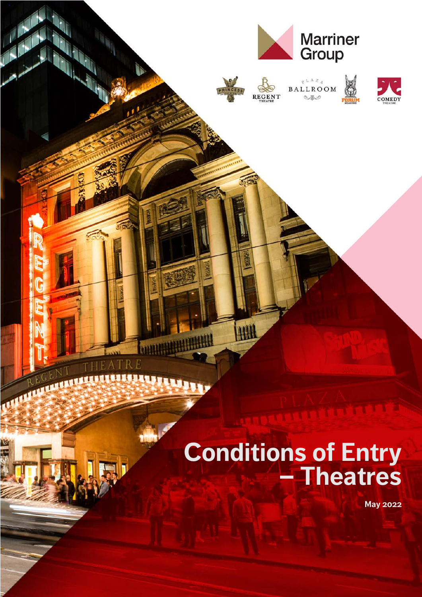

# **Conditions of Entry – Theatres**

**May 2022**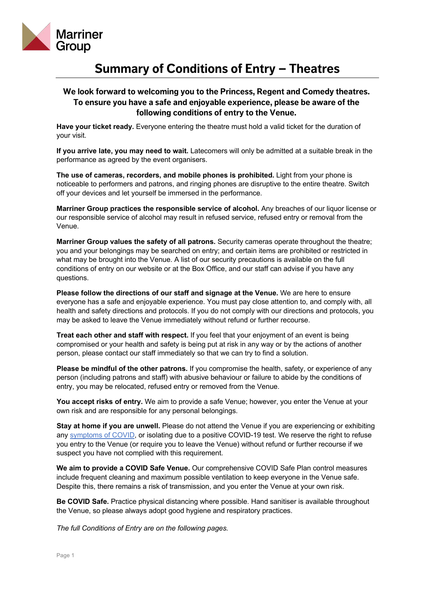

# **Summary of Conditions of Entry – Theatres**

## **We look forward to welcoming you to the Princess, Regent and Comedy theatres. To ensure you have a safe and enjoyable experience, please be aware of the following conditions of entry to the Venue.**

**Have your ticket ready.** Everyone entering the theatre must hold a valid ticket for the duration of your visit.

**If you arrive late, you may need to wait.** Latecomers will only be admitted at a suitable break in the performance as agreed by the event organisers.

**The use of cameras, recorders, and mobile phones is prohibited.** Light from your phone is noticeable to performers and patrons, and ringing phones are disruptive to the entire theatre. Switch off your devices and let yourself be immersed in the performance.

**Marriner Group practices the responsible service of alcohol.** Any breaches of our liquor license or our responsible service of alcohol may result in refused service, refused entry or removal from the Venue.

**Marriner Group values the safety of all patrons.** Security cameras operate throughout the theatre; you and your belongings may be searched on entry; and certain items are prohibited or restricted in what may be brought into the Venue. A list of our security precautions is available on the full conditions of entry on our website or at the Box Office, and our staff can advise if you have any questions.

**Please follow the directions of our staff and signage at the Venue.** We are here to ensure everyone has a safe and enjoyable experience. You must pay close attention to, and comply with, all health and safety directions and protocols. If you do not comply with our directions and protocols, you may be asked to leave the Venue immediately without refund or further recourse.

**Treat each other and staff with respect.** If you feel that your enjoyment of an event is being compromised or your health and safety is being put at risk in any way or by the actions of another person, please contact our staff immediately so that we can try to find a solution.

**Please be mindful of the other patrons.** If you compromise the health, safety, or experience of any person (including patrons and staff) with abusive behaviour or failure to abide by the conditions of entry, you may be relocated, refused entry or removed from the Venue.

**You accept risks of entry.** We aim to provide a safe Venue; however, you enter the Venue at your own risk and are responsible for any personal belongings.

**Stay at home if you are unwell.** Please do not attend the Venue if you are experiencing or exhibiting any [symptoms of COVID](https://www.dhhs.vic.gov.au/victorian-public-coronavirus-disease-covid-19#what-are-the-symptoms-of-coronavirus-covid-19), or isolating due to a positive COVID-19 test. We reserve the right to refuse you entry to the Venue (or require you to leave the Venue) without refund or further recourse if we suspect you have not complied with this requirement.

**We aim to provide a COVID Safe Venue.** Our comprehensive COVID Safe Plan control measures include frequent cleaning and maximum possible ventilation to keep everyone in the Venue safe. Despite this, there remains a risk of transmission, and you enter the Venue at your own risk.

**Be COVID Safe.** Practice physical distancing where possible. Hand sanitiser is available throughout the Venue, so please always adopt good hygiene and respiratory practices.

*The full Conditions of Entry are on the following pages.*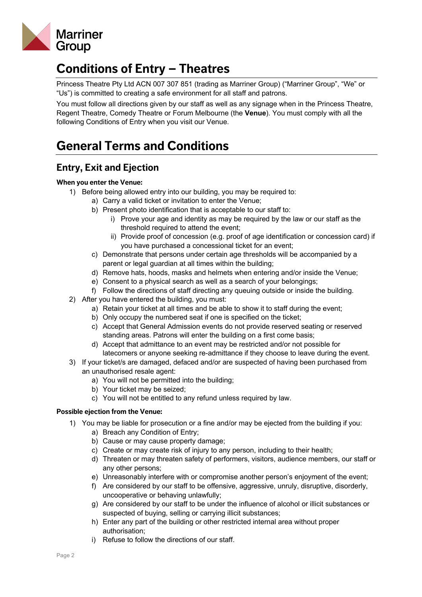

# **Conditions of Entry – Theatres**

Princess Theatre Pty Ltd ACN 007 307 851 (trading as Marriner Group) ("Marriner Group", "We" or "Us") is committed to creating a safe environment for all staff and patrons.

You must follow all directions given by our staff as well as any signage when in the Princess Theatre, Regent Theatre, Comedy Theatre or Forum Melbourne (the **Venue**). You must comply with all the following Conditions of Entry when you visit our Venue.

# **General Terms and Conditions**

# **Entry, Exit and Ejection**

#### **When you enter the Venue:**

- 1) Before being allowed entry into our building, you may be required to:
	- a) Carry a valid ticket or invitation to enter the Venue;
	- b) Present photo identification that is acceptable to our staff to:
		- i) Prove your age and identity as may be required by the law or our staff as the threshold required to attend the event;
		- ii) Provide proof of concession (e.g. proof of age identification or concession card) if you have purchased a concessional ticket for an event;
	- c) Demonstrate that persons under certain age thresholds will be accompanied by a parent or legal guardian at all times within the building;
	- d) Remove hats, hoods, masks and helmets when entering and/or inside the Venue;
	- e) Consent to a physical search as well as a search of your belongings;
	- f) Follow the directions of staff directing any queuing outside or inside the building.
- 2) After you have entered the building, you must:
	- a) Retain your ticket at all times and be able to show it to staff during the event;
	- b) Only occupy the numbered seat if one is specified on the ticket;
	- c) Accept that General Admission events do not provide reserved seating or reserved standing areas. Patrons will enter the building on a first come basis;
	- d) Accept that admittance to an event may be restricted and/or not possible for latecomers or anyone seeking re-admittance if they choose to leave during the event.
- 3) If your ticket/s are damaged, defaced and/or are suspected of having been purchased from an unauthorised resale agent:
	- a) You will not be permitted into the building;
	- b) Your ticket may be seized;
	- c) You will not be entitled to any refund unless required by law.

#### **Possible ejection from the Venue:**

- 1) You may be liable for prosecution or a fine and/or may be ejected from the building if you:
	- a) Breach any Condition of Entry;
	- b) Cause or may cause property damage;
	- c) Create or may create risk of injury to any person, including to their health;
	- d) Threaten or may threaten safety of performers, visitors, audience members, our staff or any other persons;
	- e) Unreasonably interfere with or compromise another person's enjoyment of the event;
	- f) Are considered by our staff to be offensive, aggressive, unruly, disruptive, disorderly, uncooperative or behaving unlawfully;
	- g) Are considered by our staff to be under the influence of alcohol or illicit substances or suspected of buying, selling or carrying illicit substances;
	- h) Enter any part of the building or other restricted internal area without proper authorisation;
	- i) Refuse to follow the directions of our staff.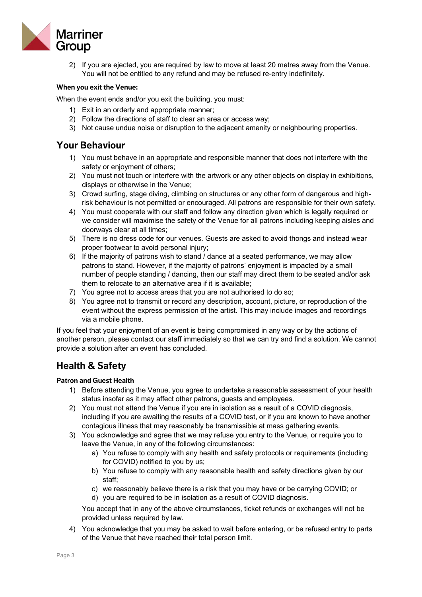

2) If you are ejected, you are required by law to move at least 20 metres away from the Venue. You will not be entitled to any refund and may be refused re-entry indefinitely.

#### **When you exit the Venue:**

When the event ends and/or you exit the building, you must:

- 1) Exit in an orderly and appropriate manner;
- 2) Follow the directions of staff to clear an area or access way;
- 3) Not cause undue noise or disruption to the adjacent amenity or neighbouring properties.

# **Your Behaviour**

- 1) You must behave in an appropriate and responsible manner that does not interfere with the safety or enjoyment of others;
- 2) You must not touch or interfere with the artwork or any other objects on display in exhibitions, displays or otherwise in the Venue;
- 3) Crowd surfing, stage diving, climbing on structures or any other form of dangerous and highrisk behaviour is not permitted or encouraged. All patrons are responsible for their own safety.
- 4) You must cooperate with our staff and follow any direction given which is legally required or we consider will maximise the safety of the Venue for all patrons including keeping aisles and doorways clear at all times;
- 5) There is no dress code for our venues. Guests are asked to avoid thongs and instead wear proper footwear to avoid personal injury;
- 6) If the majority of patrons wish to stand / dance at a seated performance, we may allow patrons to stand. However, if the majority of patrons' enjoyment is impacted by a small number of people standing / dancing, then our staff may direct them to be seated and/or ask them to relocate to an alternative area if it is available;
- 7) You agree not to access areas that you are not authorised to do so;
- 8) You agree not to transmit or record any description, account, picture, or reproduction of the event without the express permission of the artist. This may include images and recordings via a mobile phone.

If you feel that your enjoyment of an event is being compromised in any way or by the actions of another person, please contact our staff immediately so that we can try and find a solution. We cannot provide a solution after an event has concluded.

# **Health & Safety**

#### **Patron and Guest Health**

- 1) Before attending the Venue, you agree to undertake a reasonable assessment of your health status insofar as it may affect other patrons, guests and employees.
- 2) You must not attend the Venue if you are in isolation as a result of a COVID diagnosis, including if you are awaiting the results of a COVID test, or if you are known to have another contagious illness that may reasonably be transmissible at mass gathering events.
- 3) You acknowledge and agree that we may refuse you entry to the Venue, or require you to leave the Venue, in any of the following circumstances:
	- a) You refuse to comply with any health and safety protocols or requirements (including for COVID) notified to you by us;
	- b) You refuse to comply with any reasonable health and safety directions given by our staff;
	- c) we reasonably believe there is a risk that you may have or be carrying COVID; or
	- d) you are required to be in isolation as a result of COVID diagnosis.

You accept that in any of the above circumstances, ticket refunds or exchanges will not be provided unless required by law.

4) You acknowledge that you may be asked to wait before entering, or be refused entry to parts of the Venue that have reached their total person limit.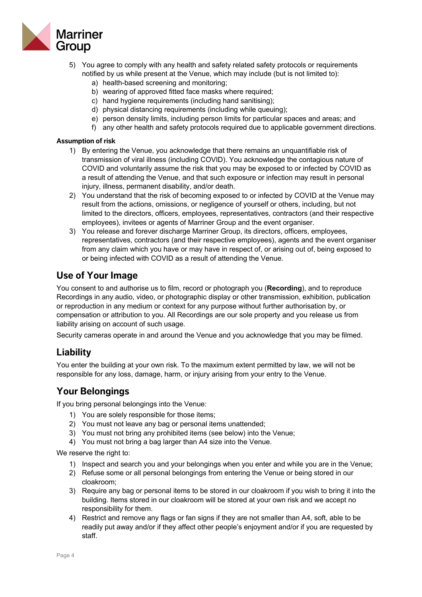

- 5) You agree to comply with any health and safety related safety protocols or requirements notified by us while present at the Venue, which may include (but is not limited to):
	- a) health-based screening and monitoring;
	- b) wearing of approved fitted face masks where required;
	- c) hand hygiene requirements (including hand sanitising);
	- d) physical distancing requirements (including while queuing);
	- e) person density limits, including person limits for particular spaces and areas; and
	- f) any other health and safety protocols required due to applicable government directions.

#### **Assumption of risk**

- 1) By entering the Venue, you acknowledge that there remains an unquantifiable risk of transmission of viral illness (including COVID). You acknowledge the contagious nature of COVID and voluntarily assume the risk that you may be exposed to or infected by COVID as a result of attending the Venue, and that such exposure or infection may result in personal injury, illness, permanent disability, and/or death.
- 2) You understand that the risk of becoming exposed to or infected by COVID at the Venue may result from the actions, omissions, or negligence of yourself or others, including, but not limited to the directors, officers, employees, representatives, contractors (and their respective employees), invitees or agents of Marriner Group and the event organiser.
- 3) You release and forever discharge Marriner Group, its directors, officers, employees, representatives, contractors (and their respective employees), agents and the event organiser from any claim which you have or may have in respect of, or arising out of, being exposed to or being infected with COVID as a result of attending the Venue.

## **Use of Your Image**

You consent to and authorise us to film, record or photograph you (**Recording**), and to reproduce Recordings in any audio, video, or photographic display or other transmission, exhibition, publication or reproduction in any medium or context for any purpose without further authorisation by, or compensation or attribution to you. All Recordings are our sole property and you release us from liability arising on account of such usage.

Security cameras operate in and around the Venue and you acknowledge that you may be filmed.

## **Liability**

You enter the building at your own risk. To the maximum extent permitted by law, we will not be responsible for any loss, damage, harm, or injury arising from your entry to the Venue.

## **Your Belongings**

If you bring personal belongings into the Venue:

- 1) You are solely responsible for those items;
- 2) You must not leave any bag or personal items unattended;
- 3) You must not bring any prohibited items (see below) into the Venue;
- 4) You must not bring a bag larger than A4 size into the Venue.

We reserve the right to:

- 1) Inspect and search you and your belongings when you enter and while you are in the Venue;
- 2) Refuse some or all personal belongings from entering the Venue or being stored in our cloakroom;
- 3) Require any bag or personal items to be stored in our cloakroom if you wish to bring it into the building. Items stored in our cloakroom will be stored at your own risk and we accept no responsibility for them.
- 4) Restrict and remove any flags or fan signs if they are not smaller than A4, soft, able to be readily put away and/or if they affect other people's enjoyment and/or if you are requested by staff.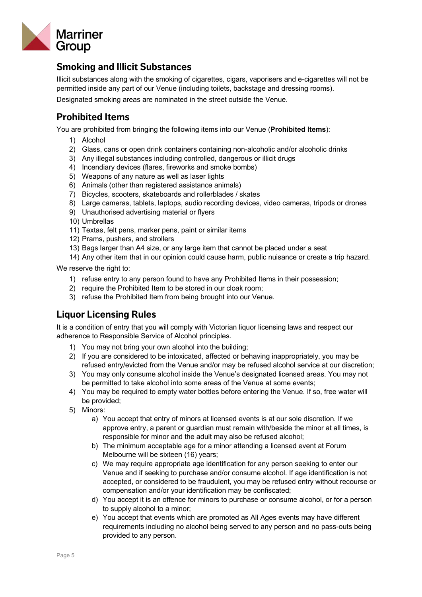

# **Smoking and Illicit Substances**

Illicit substances along with the smoking of cigarettes, cigars, vaporisers and e-cigarettes will not be permitted inside any part of our Venue (including toilets, backstage and dressing rooms).

Designated smoking areas are nominated in the street outside the Venue.

# **Prohibited Items**

You are prohibited from bringing the following items into our Venue (**Prohibited Items**):

- 1) Alcohol
- 2) Glass, cans or open drink containers containing non-alcoholic and/or alcoholic drinks
- 3) Any illegal substances including controlled, dangerous or illicit drugs
- 4) Incendiary devices (flares, fireworks and smoke bombs)
- 5) Weapons of any nature as well as laser lights
- 6) Animals (other than registered assistance animals)
- 7) Bicycles, scooters, skateboards and rollerblades / skates
- 8) Large cameras, tablets, laptops, audio recording devices, video cameras, tripods or drones
- 9) Unauthorised advertising material or flyers
- 10) Umbrellas
- 11) Textas, felt pens, marker pens, paint or similar items
- 12) Prams, pushers, and strollers
- 13) Bags larger than A4 size, or any large item that cannot be placed under a seat

14) Any other item that in our opinion could cause harm, public nuisance or create a trip hazard.

We reserve the right to:

- 1) refuse entry to any person found to have any Prohibited Items in their possession;
- 2) require the Prohibited Item to be stored in our cloak room;
- 3) refuse the Prohibited Item from being brought into our Venue.

# **Liquor Licensing Rules**

It is a condition of entry that you will comply with Victorian liquor licensing laws and respect our adherence to Responsible Service of Alcohol principles.

- 1) You may not bring your own alcohol into the building;
- 2) If you are considered to be intoxicated, affected or behaving inappropriately, you may be refused entry/evicted from the Venue and/or may be refused alcohol service at our discretion;
- 3) You may only consume alcohol inside the Venue's designated licensed areas. You may not be permitted to take alcohol into some areas of the Venue at some events;
- 4) You may be required to empty water bottles before entering the Venue. If so, free water will be provided;
- 5) Minors:
	- a) You accept that entry of minors at licensed events is at our sole discretion. If we approve entry, a parent or guardian must remain with/beside the minor at all times, is responsible for minor and the adult may also be refused alcohol;
	- b) The minimum acceptable age for a minor attending a licensed event at Forum Melbourne will be sixteen (16) years;
	- c) We may require appropriate age identification for any person seeking to enter our Venue and if seeking to purchase and/or consume alcohol. If age identification is not accepted, or considered to be fraudulent, you may be refused entry without recourse or compensation and/or your identification may be confiscated;
	- d) You accept it is an offence for minors to purchase or consume alcohol, or for a person to supply alcohol to a minor;
	- e) You accept that events which are promoted as All Ages events may have different requirements including no alcohol being served to any person and no pass-outs being provided to any person.